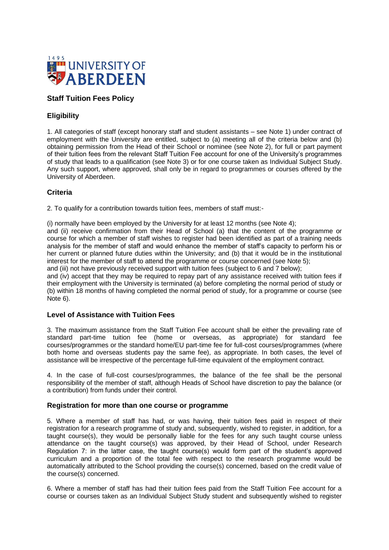

# **Staff Tuition Fees Policy**

## **Eligibility**

1. All categories of staff (except honorary staff and student assistants – see Note 1) under contract of employment with the University are entitled, subject to (a) meeting all of the criteria below and (b) obtaining permission from the Head of their School or nominee (see Note 2), for full or part payment of their tuition fees from the relevant Staff Tuition Fee account for one of the University's programmes of study that leads to a qualification (see Note 3) or for one course taken as Individual Subject Study. Any such support, where approved, shall only be in regard to programmes or courses offered by the University of Aberdeen.

### **Criteria**

2. To qualify for a contribution towards tuition fees, members of staff must:-

(i) normally have been employed by the University for at least 12 months (see Note 4); and (ii) receive confirmation from their Head of School (a) that the content of the programme or course for which a member of staff wishes to register had been identified as part of a training needs analysis for the member of staff and would enhance the member of staff's capacity to perform his or her current or planned future duties within the University; and (b) that it would be in the institutional interest for the member of staff to attend the programme or course concerned (see Note 5);

and (iii) not have previously received support with tuition fees (subject to 6 and 7 below);

and (iv) accept that they may be required to repay part of any assistance received with tuition fees if their employment with the University is terminated (a) before completing the normal period of study or (b) within 18 months of having completed the normal period of study, for a programme or course (see Note 6).

#### **Level of Assistance with Tuition Fees**

3. The maximum assistance from the Staff Tuition Fee account shall be either the prevailing rate of standard part-time tuition fee (home or overseas, as appropriate) for standard fee courses/programmes or the standard home/EU part-time fee for full-cost courses/programmes (where both home and overseas students pay the same fee), as appropriate. In both cases, the level of assistance will be irrespective of the percentage full-time equivalent of the employment contract.

4. In the case of full-cost courses/programmes, the balance of the fee shall be the personal responsibility of the member of staff, although Heads of School have discretion to pay the balance (or a contribution) from funds under their control.

#### **Registration for more than one course or programme**

5. Where a member of staff has had, or was having, their tuition fees paid in respect of their registration for a research programme of study and, subsequently, wished to register, in addition, for a taught course(s), they would be personally liable for the fees for any such taught course unless attendance on the taught course(s) was approved, by their Head of School, under Research Regulation 7: in the latter case, the taught course(s) would form part of the student's approved curriculum and a proportion of the total fee with respect to the research programme would be automatically attributed to the School providing the course(s) concerned, based on the credit value of the course(s) concerned.

6. Where a member of staff has had their tuition fees paid from the Staff Tuition Fee account for a course or courses taken as an Individual Subject Study student and subsequently wished to register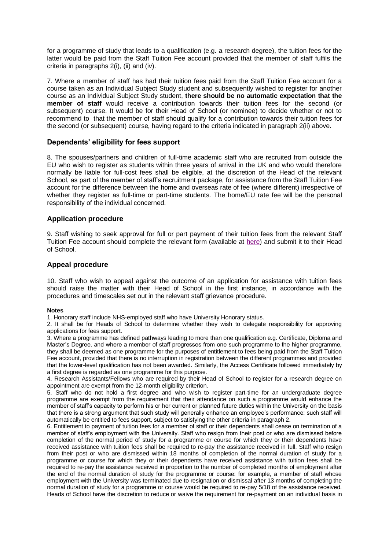for a programme of study that leads to a qualification (e.g. a research degree), the tuition fees for the latter would be paid from the Staff Tuition Fee account provided that the member of staff fulfils the criteria in paragraphs 2(i), (ii) and (iv).

7. Where a member of staff has had their tuition fees paid from the Staff Tuition Fee account for a course taken as an Individual Subject Study student and subsequently wished to register for another course as an Individual Subject Study student, **there should be no automatic expectation that the member of staff** would receive a contribution towards their tuition fees for the second (or subsequent) course. It would be for their Head of School (or nominee) to decide whether or not to recommend to that the member of staff should qualify for a contribution towards their tuition fees for the second (or subsequent) course, having regard to the criteria indicated in paragraph 2(ii) above.

### **Dependents' eligibility for fees support**

8. The spouses/partners and children of full-time academic staff who are recruited from outside the EU who wish to register as students within three years of arrival in the UK and who would therefore normally be liable for full-cost fees shall be eligible, at the discretion of the Head of the relevant School, as part of the member of staff's recruitment package, for assistance from the Staff Tuition Fee account for the difference between the home and overseas rate of fee (where different) irrespective of whether they register as full-time or part-time students. The home/EU rate fee will be the personal responsibility of the individual concerned.

#### **Application procedure**

9. Staff wishing to seek approval for full or part payment of their tuition fees from the relevant Staff Tuition Fee account should complete the relevant form (available at [here\)](https://www.abdn.ac.uk/staffnet/documents/registry/stafftuitionfees%20application%20Jul21.docx) and submit it to their Head of School.

#### **Appeal procedure**

10. Staff who wish to appeal against the outcome of an application for assistance with tuition fees should raise the matter with their Head of School in the first instance, in accordance with the procedures and timescales set out in the relevant staff grievance procedure.

#### **Notes**

1. Honorary staff include NHS-employed staff who have University Honorary status.

2. It shall be for Heads of School to determine whether they wish to delegate responsibility for approving applications for fees support.

3. Where a programme has defined pathways leading to more than one qualification e.g. Certificate, Diploma and Master's Degree, and where a member of staff progresses from one such programme to the higher programme, they shall be deemed as one programme for the purposes of entitlement to fees being paid from the Staff Tuition Fee account, provided that there is no interruption in registration between the different programmes and provided that the lower-level qualification has not been awarded. Similarly, the Access Certificate followed immediately by a first degree is regarded as one programme for this purpose.

4. Research Assistants/Fellows who are required by their Head of School to register for a research degree on appointment are exempt from the 12-month eligibility criterion.

5. Staff who do not hold a first degree and who wish to register part-time for an undergraduate degree programme are exempt from the requirement that their attendance on such a programme would enhance the member of staff's capacity to perform his or her current or planned future duties within the University on the basis that there is a strong argument that such study will generally enhance an employee's performance: such staff will automatically be entitled to fees support, subject to satisfying the other criteria in paragraph 2.

6. Entitlement to payment of tuition fees for a member of staff or their dependents shall cease on termination of a member of staff's employment with the University. Staff who resign from their post or who are dismissed before completion of the normal period of study for a programme or course for which they or their dependents have received assistance with tuition fees shall be required to re-pay the assistance received in full. Staff who resign from their post or who are dismissed within 18 months of completion of the normal duration of study for a programme or course for which they or their dependents have received assistance with tuition fees shall be required to re-pay the assistance received in proportion to the number of completed months of employment after the end of the normal duration of study for the programme or course: for example, a member of staff whose employment with the University was terminated due to resignation or dismissal after 13 months of completing the normal duration of study for a programme or course would be required to re-pay 5/18 of the assistance received. Heads of School have the discretion to reduce or waive the requirement for re-payment on an individual basis in